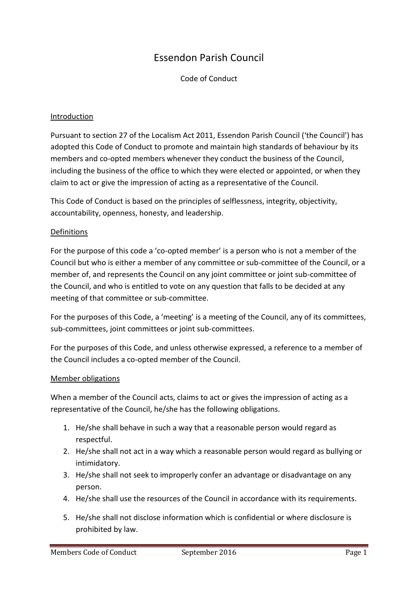# Essendon Parish Council

Code of Conduct

#### Introduction

Pursuant to section 27 of the Localism Act 2011, Essendon Parish Council ('the Council') has adopted this Code of Conduct to promote and maintain high standards of behaviour by its members and co-opted members whenever they conduct the business of the Council, including the business of the office to which they were elected or appointed, or when they claim to act or give the impression of acting as a representative of the Council.

This Code of Conduct is based on the principles of selflessness, integrity, objectivity, accountability, openness, honesty, and leadership.

#### Definitions

For the purpose of this code a 'co-opted member' is a person who is not a member of the Council but who is either a member of any committee or sub-committee of the Council, or a member of, and represents the Council on any joint committee or joint sub-committee of the Council, and who is entitled to vote on any question that falls to be decided at any meeting of that committee or sub-committee.

For the purposes of this Code, a 'meeting' is a meeting of the Council, any of its committees, sub-committees, joint committees or joint sub-committees.

For the purposes of this Code, and unless otherwise expressed, a reference to a member of the Council includes a co-opted member of the Council.

#### Member obligations

When a member of the Council acts, claims to act or gives the impression of acting as a representative of the Council, he/she has the following obligations.

- 1. He/she shall behave in such a way that a reasonable person would regard as respectful.
- 2. He/she shall not act in a way which a reasonable person would regard as bullying or intimidatory.
- 3. He/she shall not seek to improperly confer an advantage or disadvantage on any person.
- 4. He/she shall use the resources of the Council in accordance with its requirements.
- 5. He/she shall not disclose information which is confidential or where disclosure is prohibited by law.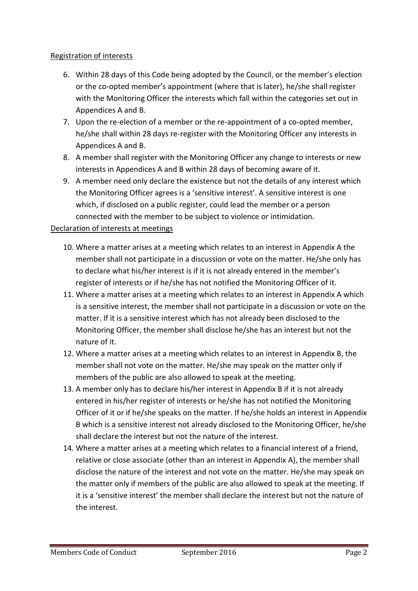## Registration of interests

- 6. Within 28 days of this Code being adopted by the Council, or the member's election or the co-opted member's appointment (where that is later), he/she shall register with the Monitoring Officer the interests which fall within the categories set out in Appendices A and B.
- 7. Upon the re-election of a member or the re-appointment of a co-opted member, he/she shall within 28 days re-register with the Monitoring Officer any interests in Appendices A and B.
- 8. A member shall register with the Monitoring Officer any change to interests or new interests in Appendices A and B within 28 days of becoming aware of it.
- 9. A member need only declare the existence but not the details of any interest which the Monitoring Officer agrees is a 'sensitive interest'. A sensitive interest is one which, if disclosed on a public register, could lead the member or a person connected with the member to be subject to violence or intimidation.

# Declaration of interests at meetings

- 10. Where a matter arises at a meeting which relates to an interest in Appendix A the member shall not participate in a discussion or vote on the matter. He/she only has to declare what his/her interest is if it is not already entered in the member's register of interests or if he/she has not notified the Monitoring Officer of it.
- 11. Where a matter arises at a meeting which relates to an interest in Appendix A which is a sensitive interest, the member shall not participate in a discussion or vote on the matter. If it is a sensitive interest which has not already been disclosed to the Monitoring Officer, the member shall disclose he/she has an interest but not the nature of it.
- 12. Where a matter arises at a meeting which relates to an interest in Appendix B, the member shall not vote on the matter. He/she may speak on the matter only if members of the public are also allowed to speak at the meeting.
- 13. A member only has to declare his/her interest in Appendix B if it is not already entered in his/her register of interests or he/she has not notified the Monitoring Officer of it or if he/she speaks on the matter. If he/she holds an interest in Appendix B which is a sensitive interest not already disclosed to the Monitoring Officer, he/she shall declare the interest but not the nature of the interest.
- 14. Where a matter arises at a meeting which relates to a financial interest of a friend, relative or close associate (other than an interest in Appendix A), the member shall disclose the nature of the interest and not vote on the matter. He/she may speak on the matter only if members of the public are also allowed to speak at the meeting. If it is a 'sensitive interest' the member shall declare the interest but not the nature of the interest.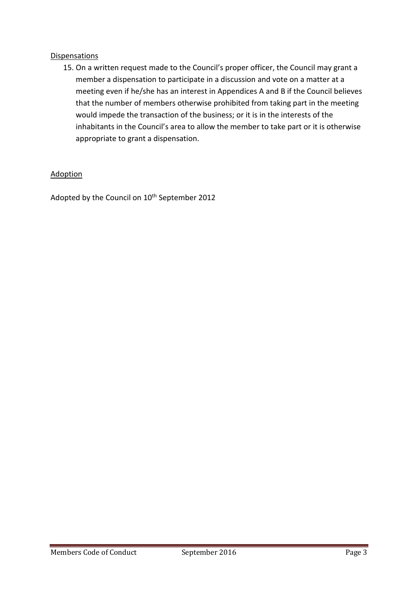### **Dispensations**

15. On a written request made to the Council's proper officer, the Council may grant a member a dispensation to participate in a discussion and vote on a matter at a meeting even if he/she has an interest in Appendices A and B if the Council believes that the number of members otherwise prohibited from taking part in the meeting would impede the transaction of the business; or it is in the interests of the inhabitants in the Council's area to allow the member to take part or it is otherwise appropriate to grant a dispensation.

## Adoption

Adopted by the Council on 10<sup>th</sup> September 2012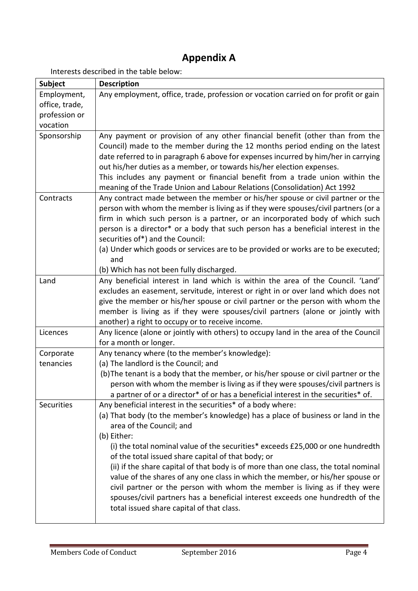# **Appendix A**

Interests described in the table below:

| <b>Subject</b> | <b>Description</b>                                                                                                                                                                                                                                                                                                                                                                                                                                                                                                         |
|----------------|----------------------------------------------------------------------------------------------------------------------------------------------------------------------------------------------------------------------------------------------------------------------------------------------------------------------------------------------------------------------------------------------------------------------------------------------------------------------------------------------------------------------------|
| Employment,    | Any employment, office, trade, profession or vocation carried on for profit or gain                                                                                                                                                                                                                                                                                                                                                                                                                                        |
| office, trade, |                                                                                                                                                                                                                                                                                                                                                                                                                                                                                                                            |
| profession or  |                                                                                                                                                                                                                                                                                                                                                                                                                                                                                                                            |
| vocation       |                                                                                                                                                                                                                                                                                                                                                                                                                                                                                                                            |
| Sponsorship    | Any payment or provision of any other financial benefit (other than from the<br>Council) made to the member during the 12 months period ending on the latest<br>date referred to in paragraph 6 above for expenses incurred by him/her in carrying<br>out his/her duties as a member, or towards his/her election expenses.<br>This includes any payment or financial benefit from a trade union within the<br>meaning of the Trade Union and Labour Relations (Consolidation) Act 1992                                    |
| Contracts      | Any contract made between the member or his/her spouse or civil partner or the<br>person with whom the member is living as if they were spouses/civil partners (or a<br>firm in which such person is a partner, or an incorporated body of which such<br>person is a director* or a body that such person has a beneficial interest in the<br>securities of*) and the Council:<br>(a) Under which goods or services are to be provided or works are to be executed;<br>and<br>(b) Which has not been fully discharged.     |
| Land           | Any beneficial interest in land which is within the area of the Council. 'Land'                                                                                                                                                                                                                                                                                                                                                                                                                                            |
|                | excludes an easement, servitude, interest or right in or over land which does not                                                                                                                                                                                                                                                                                                                                                                                                                                          |
|                | give the member or his/her spouse or civil partner or the person with whom the<br>member is living as if they were spouses/civil partners (alone or jointly with<br>another) a right to occupy or to receive income.                                                                                                                                                                                                                                                                                                       |
| Licences       | Any licence (alone or jointly with others) to occupy land in the area of the Council<br>for a month or longer.                                                                                                                                                                                                                                                                                                                                                                                                             |
| Corporate      | Any tenancy where (to the member's knowledge):                                                                                                                                                                                                                                                                                                                                                                                                                                                                             |
| tenancies      | (a) The landlord is the Council; and                                                                                                                                                                                                                                                                                                                                                                                                                                                                                       |
|                | (b) The tenant is a body that the member, or his/her spouse or civil partner or the<br>person with whom the member is living as if they were spouses/civil partners is<br>a partner of or a director* of or has a beneficial interest in the securities* of.                                                                                                                                                                                                                                                               |
| Securities     | Any beneficial interest in the securities* of a body where:<br>(a) That body (to the member's knowledge) has a place of business or land in the<br>area of the Council; and<br>(b) Either:                                                                                                                                                                                                                                                                                                                                 |
|                | (i) the total nominal value of the securities* exceeds £25,000 or one hundredth<br>of the total issued share capital of that body; or<br>(ii) if the share capital of that body is of more than one class, the total nominal<br>value of the shares of any one class in which the member, or his/her spouse or<br>civil partner or the person with whom the member is living as if they were<br>spouses/civil partners has a beneficial interest exceeds one hundredth of the<br>total issued share capital of that class. |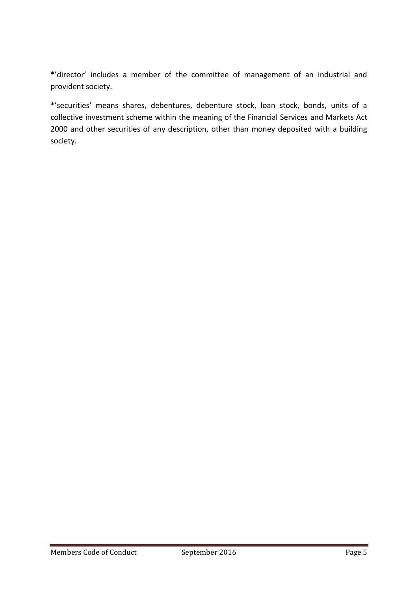\*'director' includes a member of the committee of management of an industrial and provident society.

\*'securities' means shares, debentures, debenture stock, loan stock, bonds, units of a collective investment scheme within the meaning of the Financial Services and Markets Act 2000 and other securities of any description, other than money deposited with a building society.